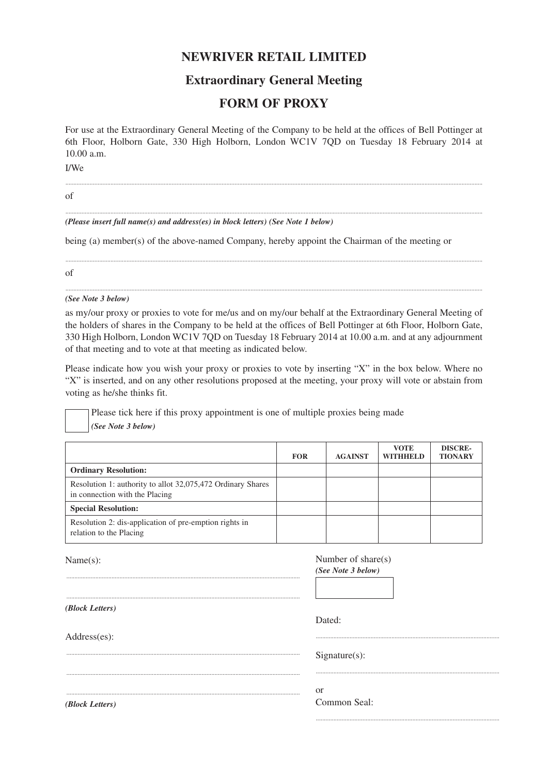## **NEWRIVER RETAIL LIMITED**

## **Extraordinary General Meeting**

## **FORM OF PROXY**

For use at the Extraordinary General Meeting of the Company to be held at the offices of Bell Pottinger at 6th Floor, Holborn Gate, 330 High Holborn, London WC1V 7QD on Tuesday 18 February 2014 at 10.00 a.m.

...................................................................................................................................................................................................................................................................

...................................................................................................................................................................................................................................................................

...................................................................................................................................................................................................................................................................

...................................................................................................................................................................................................................................................................

..................................................................................................................

I/We

of

*(Please insert full name(s) and address(es) in block letters) (See Note 1 below)*

being (a) member(s) of the above-named Company, hereby appoint the Chairman of the meeting or

of

*(See Note 3 below)*

as my/our proxy or proxies to vote for me/us and on my/our behalf at the Extraordinary General Meeting of the holders of shares in the Company to be held at the offices of Bell Pottinger at 6th Floor, Holborn Gate, 330 High Holborn, London WC1V 7QD on Tuesday 18 February 2014 at 10.00 a.m. and at any adjournment of that meeting and to vote at that meeting as indicated below.

Please indicate how you wish your proxy or proxies to vote by inserting "X" in the box below. Where no "X" is inserted, and on any other resolutions proposed at the meeting, your proxy will vote or abstain from voting as he/she thinks fit.

Please tick here if this proxy appointment is one of multiple proxies being made *(See Note 3 below)*

|                                                                                               | <b>FOR</b> | <b>AGAINST</b> | <b>VOTE</b><br><b>WITHHELD</b> | <b>DISCRE-</b><br><b>TIONARY</b> |
|-----------------------------------------------------------------------------------------------|------------|----------------|--------------------------------|----------------------------------|
| <b>Ordinary Resolution:</b>                                                                   |            |                |                                |                                  |
| Resolution 1: authority to allot 32,075,472 Ordinary Shares<br>in connection with the Placing |            |                |                                |                                  |
| <b>Special Resolution:</b>                                                                    |            |                |                                |                                  |
| Resolution 2: dis-application of pre-emption rights in<br>relation to the Placing             |            |                |                                |                                  |

Name(s): ................................................................................................................................................. ................................................................................................................................................. *(Block Letters)* Address(es): ................................................................................................................................................. ................................................................................................................................................. ................................................................................................................................................. Number of share(s) *(See Note 3 below)* Dated: .................................................................................................................. Signature(s): .................................................................................................................. or Common Seal:

*(Block Letters)*